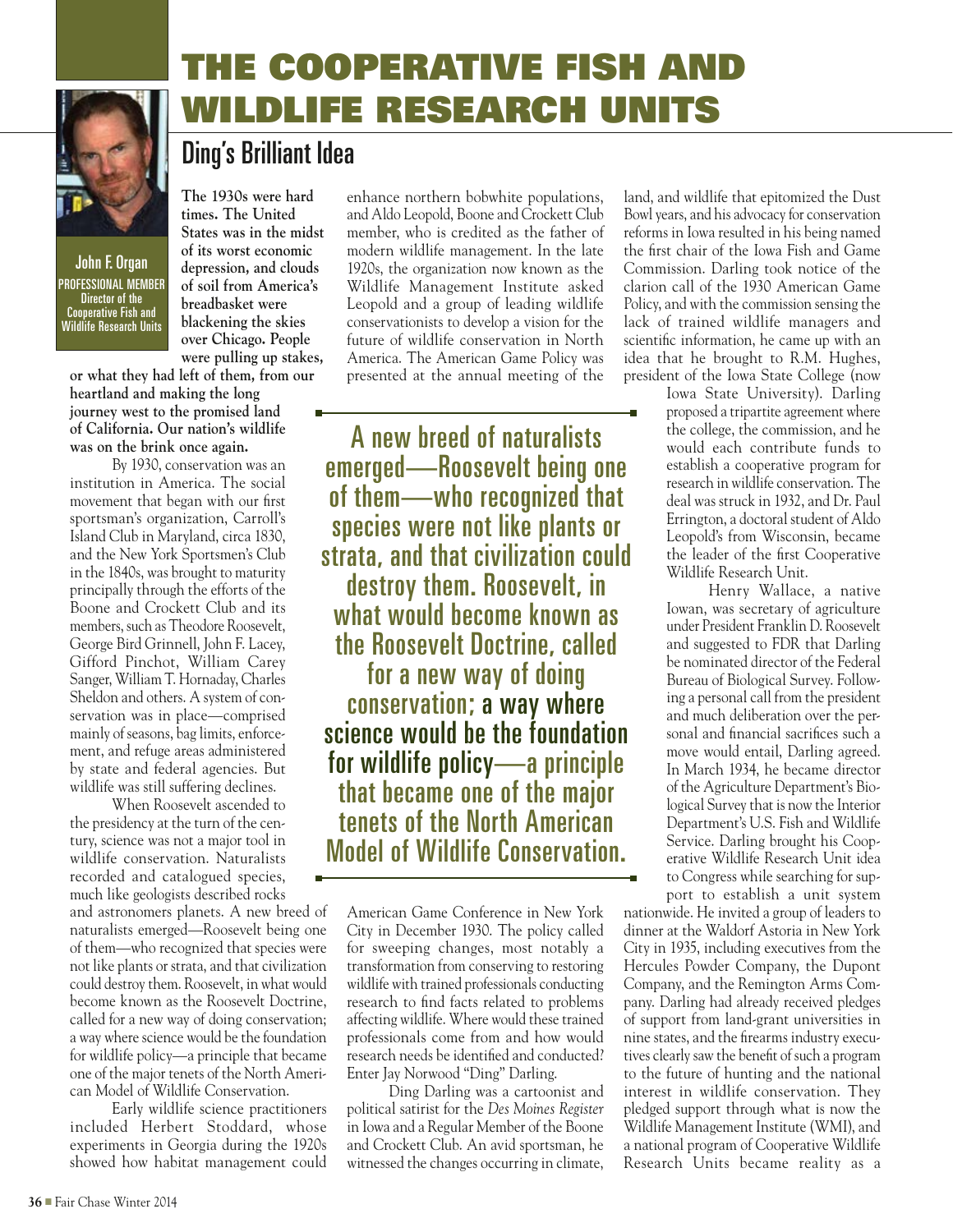

John F. Organ PROFESSIONAL MEMBER Director of the Cooperative Fish and Wildlife Research Units

**times. The United States was in the midst of its worst economic depression, and clouds of soil from America's breadbasket were blackening the skies over Chicago. People were pulling up stakes,** 

**The 1930s were hard** 

Ding's Brilliant Idea

**or what they had left of them, from our heartland and making the long journey west to the promised land of California. Our nation's wildlife was on the brink once again.**

By 1930, conservation was an institution in America. The social movement that began with our first sportsman's organization, Carroll's Island Club in Maryland, circa 1830, and the New York Sportsmen's Club in the 1840s, was brought to maturity principally through the efforts of the Boone and Crockett Club and its members, such as Theodore Roosevelt, George Bird Grinnell, John F. Lacey, Gifford Pinchot, William Carey Sanger, William T. Hornaday, Charles Sheldon and others. A system of conservation was in place—comprised mainly of seasons, bag limits, enforcement, and refuge areas administered by state and federal agencies. But wildlife was still suffering declines.

When Roosevelt ascended to the presidency at the turn of the century, science was not a major tool in wildlife conservation. Naturalists recorded and catalogued species, much like geologists described rocks

and astronomers planets. A new breed of naturalists emerged—Roosevelt being one of them—who recognized that species were not like plants or strata, and that civilization could destroy them. Roosevelt, in what would become known as the Roosevelt Doctrine, called for a new way of doing conservation; a way where science would be the foundation for wildlife policy—a principle that became one of the major tenets of the North American Model of Wildlife Conservation.

Early wildlife science practitioners included Herbert Stoddard, whose experiments in Georgia during the 1920s showed how habitat management could enhance northern bobwhite populations, and Aldo Leopold, Boone and Crockett Club member, who is credited as the father of modern wildlife management. In the late 1920s, the organization now known as the Wildlife Management Institute asked Leopold and a group of leading wildlife conservationists to develop a vision for the future of wildlife conservation in North America. The American Game Policy was presented at the annual meeting of the

THE COOPERATIVE FISH AND

WILDLIFE RESEARCH UNITS

A new breed of naturalists emerged—Roosevelt being one of them—who recognized that species were not like plants or strata, and that civilization could destroy them. Roosevelt, in what would become known as the Roosevelt Doctrine, called for a new way of doing conservation; a way where science would be the foundation for wildlife policy—a principle that became one of the major tenets of the North American Model of Wildlife Conservation.

American Game Conference in New York City in December 1930. The policy called for sweeping changes, most notably a transformation from conserving to restoring wildlife with trained professionals conducting research to find facts related to problems affecting wildlife. Where would these trained professionals come from and how would research needs be identified and conducted? Enter Jay Norwood "Ding" Darling.

Ding Darling was a cartoonist and political satirist for the *Des Moines Register*  in Iowa and a Regular Member of the Boone and Crockett Club. An avid sportsman, he witnessed the changes occurring in climate,

land, and wildlife that epitomized the Dust Bowl years, and his advocacy for conservation reforms in Iowa resulted in his being named the first chair of the Iowa Fish and Game Commission. Darling took notice of the clarion call of the 1930 American Game Policy, and with the commission sensing the lack of trained wildlife managers and scientific information, he came up with an idea that he brought to R.M. Hughes, president of the Iowa State College (now

> Iowa State University). Darling proposed a tripartite agreement where the college, the commission, and he would each contribute funds to establish a cooperative program for research in wildlife conservation. The deal was struck in 1932, and Dr. Paul Errington, a doctoral student of Aldo Leopold's from Wisconsin, became the leader of the first Cooperative Wildlife Research Unit.

> Henry Wallace, a native Iowan, was secretary of agriculture under President Franklin D. Roosevelt and suggested to FDR that Darling be nominated director of the Federal Bureau of Biological Survey. Following a personal call from the president and much deliberation over the personal and financial sacrifices such a move would entail, Darling agreed. In March 1934, he became director of the Agriculture Department's Biological Survey that is now the Interior Department's U.S. Fish and Wildlife Service. Darling brought his Cooperative Wildlife Research Unit idea to Congress while searching for support to establish a unit system

nationwide. He invited a group of leaders to dinner at the Waldorf Astoria in New York City in 1935, including executives from the Hercules Powder Company, the Dupont Company, and the Remington Arms Company. Darling had already received pledges of support from land-grant universities in nine states, and the firearms industry executives clearly saw the benefit of such a program to the future of hunting and the national interest in wildlife conservation. They pledged support through what is now the Wildlife Management Institute (WMI), and a national program of Cooperative Wildlife Research Units became reality as a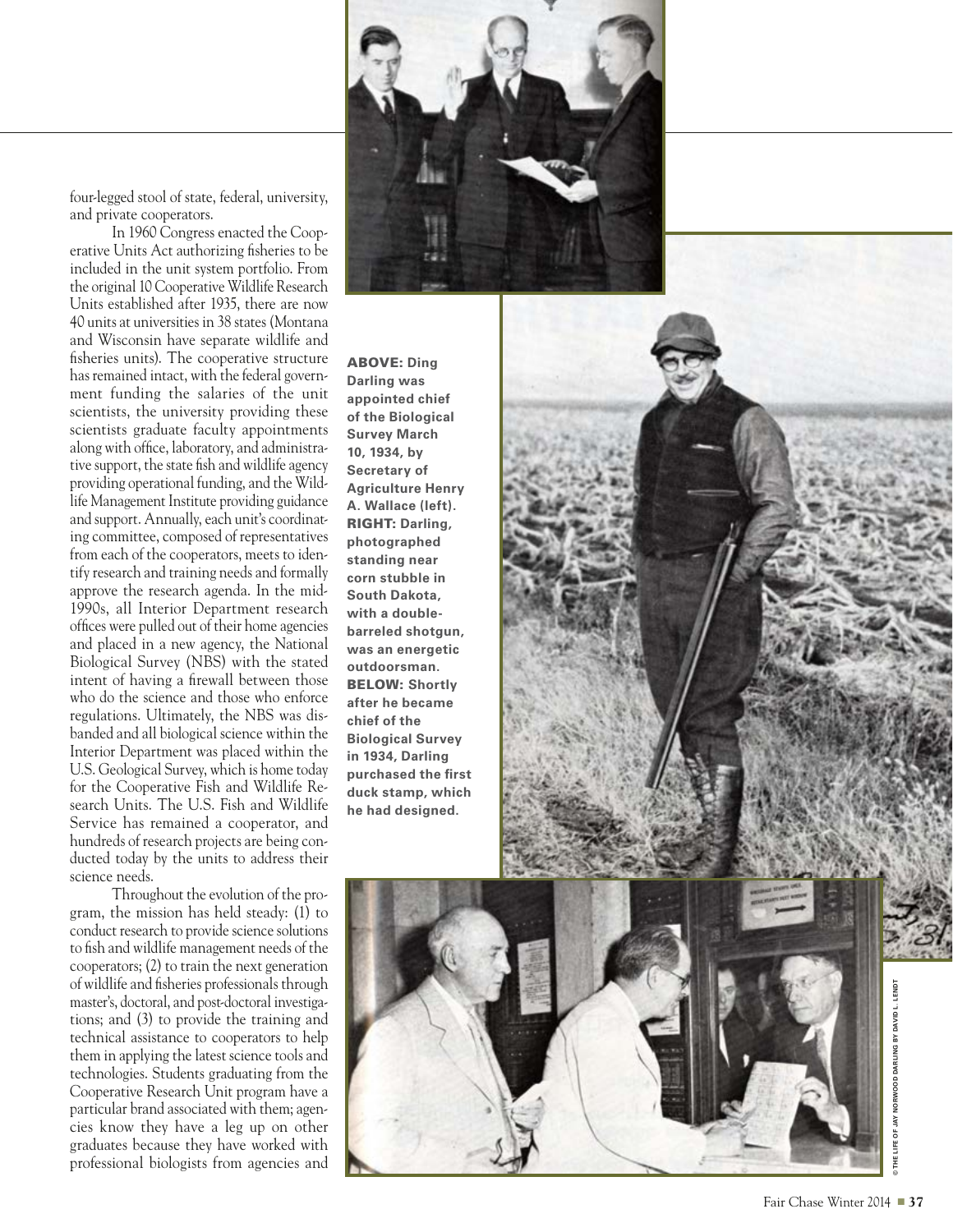

four-legged stool of state, federal, university, and private cooperators.

In 1960 Congress enacted the Coop erative Units Act authorizing fisheries to be included in the unit system portfolio. From the original 10 Cooperative Wildlife Research Units established after 1935, there are now 40 units at universities in 38 states (Montana and Wisconsin have separate wildlife and fisheries units). The cooperative structure has remained intact, with the federal govern ment funding the salaries of the unit scientists, the university providing these scientists graduate faculty appointments along with office, laboratory, and administra tive support, the state fish and wildlife agency providing operational funding, and the Wild life Management Institute providing guidance and support. Annually, each unit's coordinating committee, composed of representatives from each of the cooperators, meets to iden tify research and training needs and formally approve the research agenda. In the mid-1990s, all Interior Department research offices were pulled out of their home agencies and placed in a new agency, the National Biological Survey (NBS) with the stated intent of having a firewall between those who do the science and those who enforce regulations. Ultimately, the NBS was dis banded and all biological science within the Interior Department was placed within the U.S. Geological Survey, which is home today for the Cooperative Fish and Wildlife Re search Units. The U.S. Fish and Wildlife Service has remained a cooperator, and hundreds of research projects are being con ducted today by the units to address their science needs.

Throughout the evolution of the pro gram, the mission has held steady: (1) to conduct research to provide science solutions to fish and wildlife management needs of the cooperators; (2) to train the next generation of wildlife and fisheries professionals through master's, doctoral, and post-doctoral investiga tions; and (3) to provide the training and technical assistance to cooperators to help them in applying the latest science tools and technologies. Students graduating from the Cooperative Research Unit program have a particular brand associated with them; agen cies know they have a leg up on other graduates because they have worked with professional biologists from agencies and

ABOVE: **Ding Darling was appointed chief of the Biological Survey March 10, 1934, by Secretary of Agriculture Henry A. Wallace (left).** RIGHT: **Darling, photographed standing near corn stubble in South Dakota, with a doublebarreled shotgun, was an energetic outdoorsman.**  BELOW: **Shortly after he became chief of the Biological Survey in 1934, Darling purchased the first duck stamp, which he had designed.**